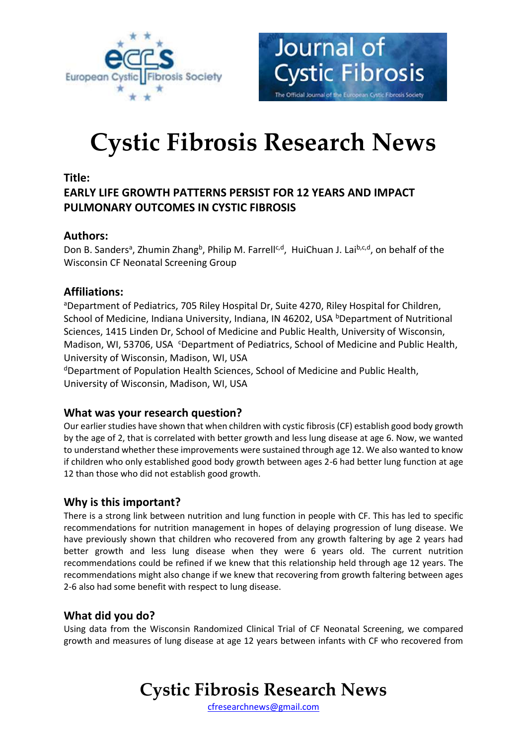



# **Cystic Fibrosis Research News**

#### **Title:**

# **EARLY LIFE GROWTH PATTERNS PERSIST FOR 12 YEARS AND IMPACT PULMONARY OUTCOMES IN CYSTIC FIBROSIS**

# **Authors:**

Don B. Sanders<sup>a</sup>, Zhumin Zhang<sup>b</sup>, Philip M. Farrell<sup>c,d</sup>, HuiChuan J. Lai<sup>b,c,d</sup>, on behalf of the Wisconsin CF Neonatal Screening Group

# **Affiliations:**

aDepartment of Pediatrics, 705 Riley Hospital Dr, Suite 4270, Riley Hospital for Children, School of Medicine, Indiana University, Indiana, IN 46202, USA <sup>b</sup>Department of Nutritional Sciences, 1415 Linden Dr, School of Medicine and Public Health, University of Wisconsin, Madison, WI, 53706, USA C Department of Pediatrics, School of Medicine and Public Health, University of Wisconsin, Madison, WI, USA

<sup>d</sup>Department of Population Health Sciences, School of Medicine and Public Health, University of Wisconsin, Madison, WI, USA

# **What was your research question?**

Our earlier studies have shown that when children with cystic fibrosis (CF) establish good body growth by the age of 2, that is correlated with better growth and less lung disease at age 6. Now, we wanted to understand whether these improvements were sustained through age 12. We also wanted to know if children who only established good body growth between ages 2-6 had better lung function at age 12 than those who did not establish good growth.

# **Why is this important?**

There is a strong link between nutrition and lung function in people with CF. This has led to specific recommendations for nutrition management in hopes of delaying progression of lung disease. We have previously shown that children who recovered from any growth faltering by age 2 years had better growth and less lung disease when they were 6 years old. The current nutrition recommendations could be refined if we knew that this relationship held through age 12 years. The recommendations might also change if we knew that recovering from growth faltering between ages 2-6 also had some benefit with respect to lung disease.

# **What did you do?**

Using data from the Wisconsin Randomized Clinical Trial of CF Neonatal Screening, we compared growth and measures of lung disease at age 12 years between infants with CF who recovered from

# **Cystic Fibrosis Research News**

[cfresearchnews@gmail.com](mailto:cfresearchnews@gmail.com)